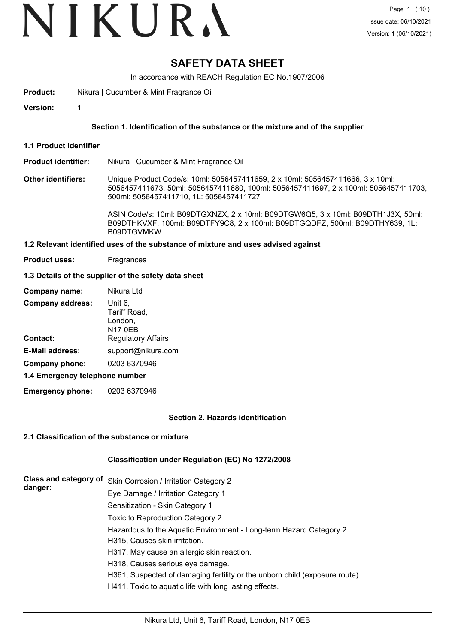### **SAFETY DATA SHEET**

In accordance with REACH Regulation EC No.1907/2006

- **Product:** Nikura | Cucumber & Mint Fragrance Oil
- **Version:** 1

#### **Section 1. Identification of the substance or the mixture and of the supplier**

**1.1 Product Identifier**

#### **Product identifier:** Nikura | Cucumber & Mint Fragrance Oil

**Other identifiers:** Unique Product Code/s: 10ml: 5056457411659, 2 x 10ml: 5056457411666, 3 x 10ml: 5056457411673, 50ml: 5056457411680, 100ml: 5056457411697, 2 x 100ml: 5056457411703, 500ml: 5056457411710, 1L: 5056457411727

> ASIN Code/s: 10ml: B09DTGXNZX, 2 x 10ml: B09DTGW6Q5, 3 x 10ml: B09DTH1J3X, 50ml: B09DTHKVXF, 100ml: B09DTFY9C8, 2 x 100ml: B09DTGQDFZ, 500ml: B09DTHY639, 1L: B09DTGVMKW

#### **1.2 Relevant identified uses of the substance of mixture and uses advised against**

**Product uses:** Fragrances

#### **1.3 Details of the supplier of the safety data sheet**

| Company name:                  | Nikura Ltd                         |  |  |
|--------------------------------|------------------------------------|--|--|
| <b>Company address:</b>        | Unit 6,<br>Tariff Road,<br>London, |  |  |
|                                | <b>N17 0EB</b>                     |  |  |
| Contact:                       | <b>Regulatory Affairs</b>          |  |  |
| <b>E-Mail address:</b>         | support@nikura.com                 |  |  |
| Company phone:                 | 0203 6370946                       |  |  |
| 1.4 Emergency telephone number |                                    |  |  |

**Emergency phone:** 0203 6370946

#### **Section 2. Hazards identification**

#### **2.1 Classification of the substance or mixture**

#### **Classification under Regulation (EC) No 1272/2008**

| <b>Class and category of</b><br>danger: | Skin Corrosion / Irritation Category 2                                      |
|-----------------------------------------|-----------------------------------------------------------------------------|
|                                         | Eye Damage / Irritation Category 1                                          |
|                                         | Sensitization - Skin Category 1                                             |
|                                         | Toxic to Reproduction Category 2                                            |
|                                         | Hazardous to the Aquatic Environment - Long-term Hazard Category 2          |
|                                         | H315, Causes skin irritation.                                               |
|                                         | H317, May cause an allergic skin reaction.                                  |
|                                         | H318, Causes serious eye damage.                                            |
|                                         | H361, Suspected of damaging fertility or the unborn child (exposure route). |
|                                         | H411, Toxic to aquatic life with long lasting effects.                      |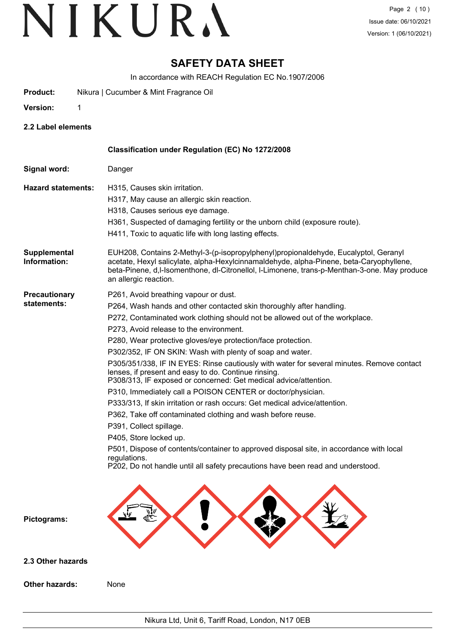### **SAFETY DATA SHEET**

In accordance with REACH Regulation EC No.1907/2006

- **Product:** Nikura | Cucumber & Mint Fragrance Oil
- **Version:** 1

**2.2 Label elements**

|                                     | Classification under Regulation (EC) No 1272/2008                                                                                                                                                                                                                                                                                                                                                                                                                                                                                                                                                                                                                                                                                                                                                                                                                                                                                                                                                                                                             |
|-------------------------------------|---------------------------------------------------------------------------------------------------------------------------------------------------------------------------------------------------------------------------------------------------------------------------------------------------------------------------------------------------------------------------------------------------------------------------------------------------------------------------------------------------------------------------------------------------------------------------------------------------------------------------------------------------------------------------------------------------------------------------------------------------------------------------------------------------------------------------------------------------------------------------------------------------------------------------------------------------------------------------------------------------------------------------------------------------------------|
| Signal word:                        | Danger                                                                                                                                                                                                                                                                                                                                                                                                                                                                                                                                                                                                                                                                                                                                                                                                                                                                                                                                                                                                                                                        |
| <b>Hazard statements:</b>           | H315, Causes skin irritation.<br>H317, May cause an allergic skin reaction.<br>H318, Causes serious eye damage.<br>H361, Suspected of damaging fertility or the unborn child (exposure route).<br>H411, Toxic to aquatic life with long lasting effects.                                                                                                                                                                                                                                                                                                                                                                                                                                                                                                                                                                                                                                                                                                                                                                                                      |
| Supplemental<br>Information:        | EUH208, Contains 2-Methyl-3-(p-isopropylphenyl)propionaldehyde, Eucalyptol, Geranyl<br>acetate, Hexyl salicylate, alpha-Hexylcinnamaldehyde, alpha-Pinene, beta-Caryophyllene,<br>beta-Pinene, d,I-Isomenthone, dl-Citronellol, I-Limonene, trans-p-Menthan-3-one. May produce<br>an allergic reaction.                                                                                                                                                                                                                                                                                                                                                                                                                                                                                                                                                                                                                                                                                                                                                       |
| <b>Precautionary</b><br>statements: | P261, Avoid breathing vapour or dust.<br>P264, Wash hands and other contacted skin thoroughly after handling.<br>P272, Contaminated work clothing should not be allowed out of the workplace.<br>P273, Avoid release to the environment.<br>P280, Wear protective gloves/eye protection/face protection.<br>P302/352, IF ON SKIN: Wash with plenty of soap and water.<br>P305/351/338, IF IN EYES: Rinse cautiously with water for several minutes. Remove contact<br>lenses, if present and easy to do. Continue rinsing.<br>P308/313, IF exposed or concerned: Get medical advice/attention.<br>P310, Immediately call a POISON CENTER or doctor/physician.<br>P333/313, If skin irritation or rash occurs: Get medical advice/attention.<br>P362, Take off contaminated clothing and wash before reuse.<br>P391, Collect spillage.<br>P405, Store locked up.<br>P501, Dispose of contents/container to approved disposal site, in accordance with local<br>regulations.<br>P202, Do not handle until all safety precautions have been read and understood. |
| Pictograms:                         |                                                                                                                                                                                                                                                                                                                                                                                                                                                                                                                                                                                                                                                                                                                                                                                                                                                                                                                                                                                                                                                               |
| 2.3 Other hazards                   |                                                                                                                                                                                                                                                                                                                                                                                                                                                                                                                                                                                                                                                                                                                                                                                                                                                                                                                                                                                                                                                               |
| <b>Other hazards:</b>               | None                                                                                                                                                                                                                                                                                                                                                                                                                                                                                                                                                                                                                                                                                                                                                                                                                                                                                                                                                                                                                                                          |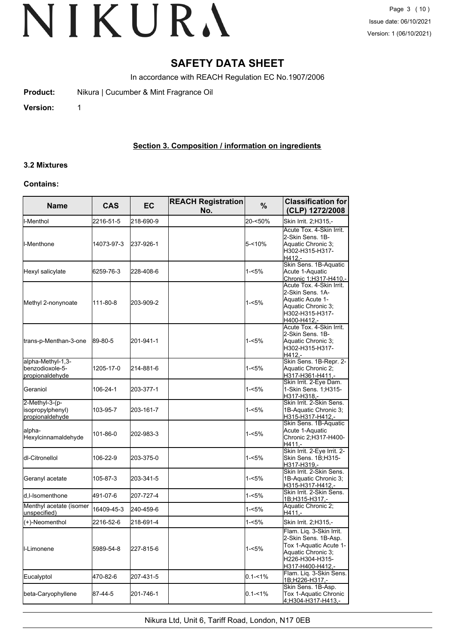### **SAFETY DATA SHEET**

In accordance with REACH Regulation EC No.1907/2006

**Product:** Nikura | Cucumber & Mint Fragrance Oil

**Version:** 1

#### **Section 3. Composition / information on ingredients**

### **3.2 Mixtures**

#### **Contains:**

| <b>Name</b>                                             | <b>CAS</b> | <b>EC</b> | <b>REACH Registration</b><br>No. | %           | <b>Classification for</b><br>(CLP) 1272/2008                                                                                            |
|---------------------------------------------------------|------------|-----------|----------------------------------|-------------|-----------------------------------------------------------------------------------------------------------------------------------------|
| I-Menthol                                               | 2216-51-5  | 218-690-9 |                                  | 20-<50%     | Skin Irrit. 2; H315,-                                                                                                                   |
| ll-Menthone                                             | 14073-97-3 | 237-926-1 |                                  | $5 - 10%$   | Acute Tox. 4-Skin Irrit.<br>2-Skin Sens. 1B-<br>Aquatic Chronic 3:<br>lH302-H315-H317-<br>H412.-                                        |
| Hexyl salicylate                                        | 6259-76-3  | 228-408-6 |                                  | 1-<5%       | Skin Sens. 1B-Aquatic<br>Acute 1-Aquatic<br>Chronic 1; H317-H410,-                                                                      |
| Methyl 2-nonynoate                                      | 111-80-8   | 203-909-2 |                                  | $1 - 5%$    | Acute Tox. 4-Skin Irrit.<br>2-Skin Sens. 1A-<br>Aquatic Acute 1-<br>Aquatic Chronic 3;<br>H302-H315-H317-<br>H400-H412,-                |
| trans-p-Menthan-3-one                                   | 89-80-5    | 201-941-1 |                                  | 1-<5%       | Acute Tox. 4-Skin Irrit.<br>2-Skin Sens. 1B-<br>Aquatic Chronic 3;<br>H302-H315-H317-<br>H412.-                                         |
| alpha-Methyl-1,3-<br>benzodioxole-5-<br>propionaldehyde | 1205-17-0  | 214-881-6 |                                  | 1-<5%       | Skin Sens. 1B-Repr. 2-<br>Aquatic Chronic 2;<br>H317-H361-H411,-                                                                        |
| Geraniol                                                | 106-24-1   | 203-377-1 |                                  | 1-<5%       | Skin Irrit. 2-Eye Dam.<br>1-Skin Sens. 1; H315-<br>H317-H318.-                                                                          |
| 2-Methyl-3-(p-<br>isopropylphenyl)<br>propionaldehyde   | 103-95-7   | 203-161-7 |                                  | $1 - 5%$    | Skin Irrit. 2-Skin Sens.<br>1B-Aquatic Chronic 3;<br>H315-H317-H412,-                                                                   |
| lalpha-<br>Hexylcinnamaldehyde                          | 101-86-0   | 202-983-3 |                                  | 1-<5%       | Skin Sens. 1B-Aquatic<br>Acute 1-Aquatic<br>Chronic 2; H317-H400-<br>H411.-                                                             |
| ldl-Citronellol                                         | 106-22-9   | 203-375-0 |                                  | 1-<5%       | Skin Irrit. 2-Eye Irrit. 2-<br>Skin Sens. 1B;H315-<br>H317-H319,-                                                                       |
| Geranyl acetate                                         | 105-87-3   | 203-341-5 |                                  | 1-<5%       | Skin Irrit, 2-Skin Sens.<br>1B-Aquatic Chronic 3;<br>H315-H317-H412,-                                                                   |
| d,l-Isomenthone                                         | 491-07-6   | 207-727-4 |                                  | 1-<5%       | Skin Irrit, 2-Skin Sens.<br>1B;H315-H317,-                                                                                              |
| Menthyl acetate (isomer<br>unspecified)                 | 16409-45-3 | 240-459-6 |                                  | 1-<5%       | Aquatic Chronic 2;<br>H411.-                                                                                                            |
| (+)-Neomenthol                                          | 2216-52-6  | 218-691-4 |                                  | 1-<5%       | Skin Irrit. 2;H315,-                                                                                                                    |
| <b>I</b> I-Limonene                                     | 5989-54-8  | 227-815-6 |                                  | 1-<5%       | Flam. Liq. 3-Skin Irrit.<br>2-Skin Sens. 1B-Asp.<br>Tox 1-Aquatic Acute 1-<br>Aquatic Chronic 3:<br>H226-H304-H315-<br>H317-H400-H412,- |
| Eucalyptol                                              | 470-82-6   | 207-431-5 |                                  | $0.1 - 1\%$ | Flam. Lig. 3-Skin Sens.<br>1B;H226-H317,-                                                                                               |
| beta-Caryophyllene                                      | 87-44-5    | 201-746-1 |                                  | 0.1-<1%     | Skin Sens. 1B-Asp.<br>Tox 1-Aquatic Chronic<br>4:H304-H317-H413.-                                                                       |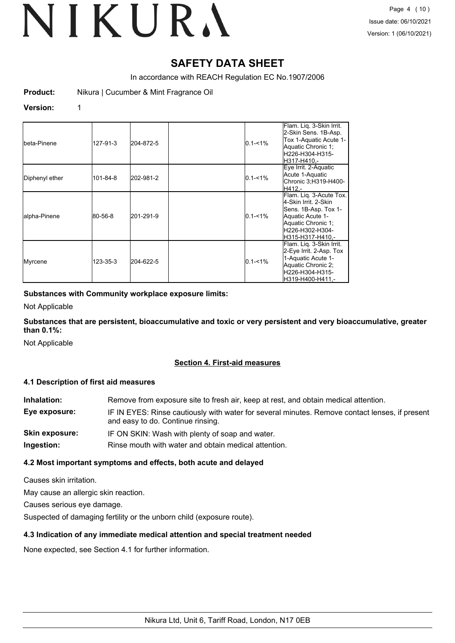### **SAFETY DATA SHEET**

In accordance with REACH Regulation EC No.1907/2006

**Product:** Nikura | Cucumber & Mint Fragrance Oil

#### **Version:** 1

| Ibeta-Pinene   | 127-91-3 | 204-872-5 | $0.1 - 1\%$ | Flam. Liq. 3-Skin Irrit.<br>2-Skin Sens. 1B-Asp.<br>Tox 1-Aquatic Acute 1-<br>Aquatic Chronic 1;<br>lH226-H304-H315-<br>lH317-H410.-                      |
|----------------|----------|-----------|-------------|-----------------------------------------------------------------------------------------------------------------------------------------------------------|
| Diphenyl ether | 101-84-8 | 202-981-2 | $0.1 - 1\%$ | Eye Irrit. 2-Aquatic<br>Acute 1-Aquatic<br>Chronic 3;H319-H400-<br>H412.-                                                                                 |
| alpha-Pinene   | 80-56-8  | 201-291-9 | $0.1 - 1\%$ | Flam. Lig. 3-Acute Tox.<br>4-Skin Irrit. 2-Skin<br>Sens. 1B-Asp. Tox 1-<br>Aquatic Acute 1-<br>Aquatic Chronic 1;<br>lH226-H302-H304-<br>H315-H317-H410.- |
| Myrcene        | 123-35-3 | 204-622-5 | $0.1 - 1\%$ | Flam. Liq. 3-Skin Irrit.<br>2-Eye Irrit. 2-Asp. Tox<br>1-Aquatic Acute 1-<br>Aquatic Chronic 2;<br>lH226-H304-H315-<br>H319-H400-H411.-                   |

#### **Substances with Community workplace exposure limits:**

Not Applicable

**Substances that are persistent, bioaccumulative and toxic or very persistent and very bioaccumulative, greater than 0.1%:**

Not Applicable

#### **Section 4. First-aid measures**

#### **4.1 Description of first aid measures**

| Inhalation:    | Remove from exposure site to fresh air, keep at rest, and obtain medical attention.                                                 |
|----------------|-------------------------------------------------------------------------------------------------------------------------------------|
| Eye exposure:  | IF IN EYES: Rinse cautiously with water for several minutes. Remove contact lenses, if present<br>and easy to do. Continue rinsing. |
| Skin exposure: | IF ON SKIN: Wash with plenty of soap and water.                                                                                     |
| Ingestion:     | Rinse mouth with water and obtain medical attention.                                                                                |

#### **4.2 Most important symptoms and effects, both acute and delayed**

Causes skin irritation.

May cause an allergic skin reaction.

Causes serious eye damage.

Suspected of damaging fertility or the unborn child (exposure route).

#### **4.3 Indication of any immediate medical attention and special treatment needed**

None expected, see Section 4.1 for further information.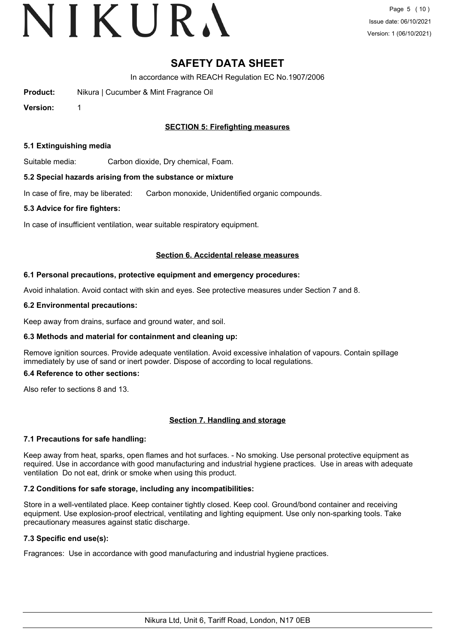### **SAFETY DATA SHEET**

In accordance with REACH Regulation EC No.1907/2006

**Product:** Nikura | Cucumber & Mint Fragrance Oil

**Version:** 1

#### **SECTION 5: Firefighting measures**

#### **5.1 Extinguishing media**

Suitable media: Carbon dioxide, Dry chemical, Foam.

#### **5.2 Special hazards arising from the substance or mixture**

In case of fire, may be liberated: Carbon monoxide, Unidentified organic compounds.

#### **5.3 Advice for fire fighters:**

In case of insufficient ventilation, wear suitable respiratory equipment.

#### **Section 6. Accidental release measures**

#### **6.1 Personal precautions, protective equipment and emergency procedures:**

Avoid inhalation. Avoid contact with skin and eyes. See protective measures under Section 7 and 8.

#### **6.2 Environmental precautions:**

Keep away from drains, surface and ground water, and soil.

#### **6.3 Methods and material for containment and cleaning up:**

Remove ignition sources. Provide adequate ventilation. Avoid excessive inhalation of vapours. Contain spillage immediately by use of sand or inert powder. Dispose of according to local regulations.

#### **6.4 Reference to other sections:**

Also refer to sections 8 and 13.

#### **Section 7. Handling and storage**

#### **7.1 Precautions for safe handling:**

Keep away from heat, sparks, open flames and hot surfaces. - No smoking. Use personal protective equipment as required. Use in accordance with good manufacturing and industrial hygiene practices. Use in areas with adequate ventilation Do not eat, drink or smoke when using this product.

#### **7.2 Conditions for safe storage, including any incompatibilities:**

Store in a well-ventilated place. Keep container tightly closed. Keep cool. Ground/bond container and receiving equipment. Use explosion-proof electrical, ventilating and lighting equipment. Use only non-sparking tools. Take precautionary measures against static discharge.

#### **7.3 Specific end use(s):**

Fragrances: Use in accordance with good manufacturing and industrial hygiene practices.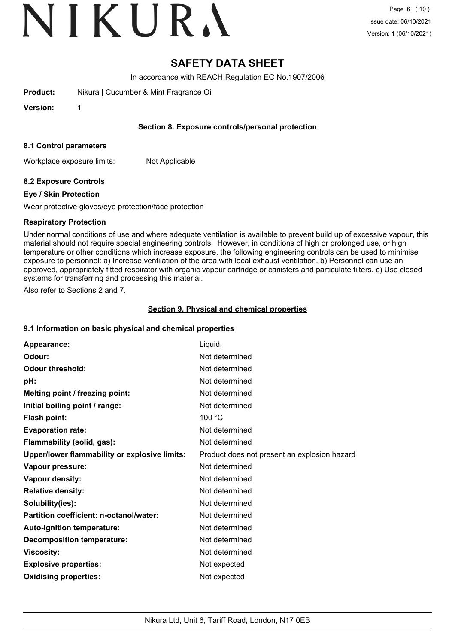### **SAFETY DATA SHEET**

In accordance with REACH Regulation EC No.1907/2006

**Product:** Nikura | Cucumber & Mint Fragrance Oil

**Version:** 1

#### **Section 8. Exposure controls/personal protection**

#### **8.1 Control parameters**

Workplace exposure limits: Not Applicable

#### **8.2 Exposure Controls**

#### **Eye / Skin Protection**

Wear protective gloves/eye protection/face protection

#### **Respiratory Protection**

Under normal conditions of use and where adequate ventilation is available to prevent build up of excessive vapour, this material should not require special engineering controls. However, in conditions of high or prolonged use, or high temperature or other conditions which increase exposure, the following engineering controls can be used to minimise exposure to personnel: a) Increase ventilation of the area with local exhaust ventilation. b) Personnel can use an approved, appropriately fitted respirator with organic vapour cartridge or canisters and particulate filters. c) Use closed systems for transferring and processing this material.

Also refer to Sections 2 and 7.

#### **Section 9. Physical and chemical properties**

#### **9.1 Information on basic physical and chemical properties**

| Appearance:                                   | Liquid.                                      |
|-----------------------------------------------|----------------------------------------------|
| Odour:                                        | Not determined                               |
| <b>Odour threshold:</b>                       | Not determined                               |
| pH:                                           | Not determined                               |
| Melting point / freezing point:               | Not determined                               |
| Initial boiling point / range:                | Not determined                               |
| <b>Flash point:</b>                           | 100 °C                                       |
| <b>Evaporation rate:</b>                      | Not determined                               |
| Flammability (solid, gas):                    | Not determined                               |
| Upper/lower flammability or explosive limits: | Product does not present an explosion hazard |
| Vapour pressure:                              | Not determined                               |
| Vapour density:                               | Not determined                               |
| <b>Relative density:</b>                      | Not determined                               |
| Solubility(ies):                              | Not determined                               |
| Partition coefficient: n-octanol/water:       | Not determined                               |
| Auto-ignition temperature:                    | Not determined                               |
| <b>Decomposition temperature:</b>             | Not determined                               |
| <b>Viscosity:</b>                             | Not determined                               |
| <b>Explosive properties:</b>                  | Not expected                                 |
| <b>Oxidising properties:</b>                  | Not expected                                 |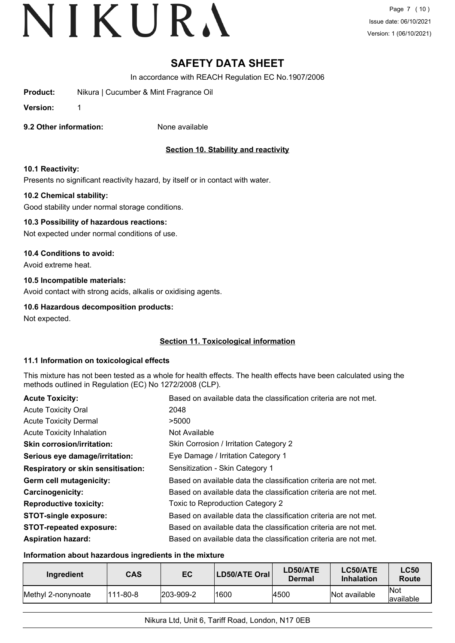### **SAFETY DATA SHEET**

In accordance with REACH Regulation EC No.1907/2006

- **Product:** Nikura | Cucumber & Mint Fragrance Oil
- **Version:** 1
- **9.2 Other information:** None available

#### **Section 10. Stability and reactivity**

#### **10.1 Reactivity:**

Presents no significant reactivity hazard, by itself or in contact with water.

#### **10.2 Chemical stability:**

Good stability under normal storage conditions.

#### **10.3 Possibility of hazardous reactions:**

Not expected under normal conditions of use.

#### **10.4 Conditions to avoid:**

Avoid extreme heat.

#### **10.5 Incompatible materials:**

Avoid contact with strong acids, alkalis or oxidising agents.

#### **10.6 Hazardous decomposition products:**

Not expected.

#### **Section 11. Toxicological information**

#### **11.1 Information on toxicological effects**

This mixture has not been tested as a whole for health effects. The health effects have been calculated using the methods outlined in Regulation (EC) No 1272/2008 (CLP).

| <b>Acute Toxicity:</b>                    | Based on available data the classification criteria are not met. |
|-------------------------------------------|------------------------------------------------------------------|
| <b>Acute Toxicity Oral</b>                | 2048                                                             |
| <b>Acute Toxicity Dermal</b>              | >5000                                                            |
| <b>Acute Toxicity Inhalation</b>          | Not Available                                                    |
| <b>Skin corrosion/irritation:</b>         | Skin Corrosion / Irritation Category 2                           |
| Serious eye damage/irritation:            | Eye Damage / Irritation Category 1                               |
| <b>Respiratory or skin sensitisation:</b> | Sensitization - Skin Category 1                                  |
| Germ cell mutagenicity:                   | Based on available data the classification criteria are not met. |
| Carcinogenicity:                          | Based on available data the classification criteria are not met. |
| <b>Reproductive toxicity:</b>             | Toxic to Reproduction Category 2                                 |
| <b>STOT-single exposure:</b>              | Based on available data the classification criteria are not met. |
| <b>STOT-repeated exposure:</b>            | Based on available data the classification criteria are not met. |
| <b>Aspiration hazard:</b>                 | Based on available data the classification criteria are not met. |

#### **Information about hazardous ingredients in the mixture**

| Ingredient                 | <b>CAS</b> | EC                | LD50/ATE Oral | LD50/ATE<br>Dermal | LC50/ATE<br><b>Inhalation</b> | <b>LC50</b><br>Route      |
|----------------------------|------------|-------------------|---------------|--------------------|-------------------------------|---------------------------|
| <b>IMethyl 2-nonynoate</b> | 111-80-8   | $ 203 - 909 - 2 $ | 1600          | 4500               | Not available                 | <b>INot</b><br>lavailable |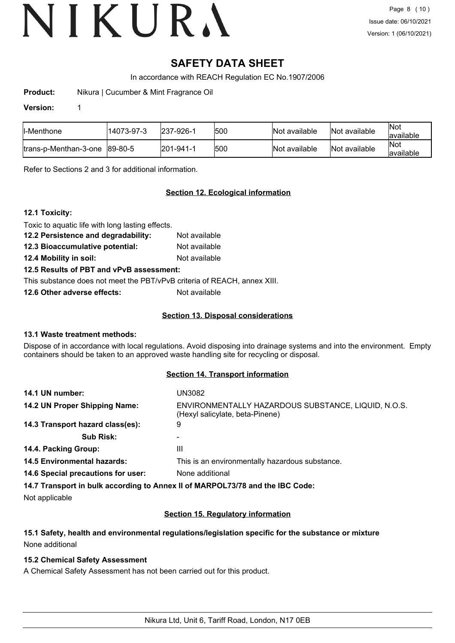### **SAFETY DATA SHEET**

In accordance with REACH Regulation EC No.1907/2006

**Product:** Nikura | Cucumber & Mint Fragrance Oil

#### **Version:** 1

| ll-Menthone            | '14073-97-3 | 237-926-1 | 1500 | Not available | Not available | Not<br>available  |
|------------------------|-------------|-----------|------|---------------|---------------|-------------------|
| ltrans-p-Menthan-3-one | 89-80-5     | 201-941-1 | 500  | Not available | Not available | Not<br>lavailable |

Refer to Sections 2 and 3 for additional information.

#### **Section 12. Ecological information**

#### **12.1 Toxicity:**

Toxic to aquatic life with long lasting effects.

- **12.2 Persistence and degradability:** Not available
- **12.3 Bioaccumulative potential:** Not available

**12.4 Mobility in soil:** Not available

#### **12.5 Results of PBT and vPvB assessment:**

This substance does not meet the PBT/vPvB criteria of REACH, annex XIII.

**12.6 Other adverse effects:** Not available

#### **Section 13. Disposal considerations**

#### **13.1 Waste treatment methods:**

Dispose of in accordance with local regulations. Avoid disposing into drainage systems and into the environment. Empty containers should be taken to an approved waste handling site for recycling or disposal.

#### **Section 14. Transport information**

| 14.1 UN number:                    | UN3082                                                                                 |
|------------------------------------|----------------------------------------------------------------------------------------|
| 14.2 UN Proper Shipping Name:      | ENVIRONMENTALLY HAZARDOUS SUBSTANCE, LIQUID, N.O.S.<br>(Hexyl salicylate, beta-Pinene) |
| 14.3 Transport hazard class(es):   | 9                                                                                      |
| <b>Sub Risk:</b>                   |                                                                                        |
| 14.4. Packing Group:               | Ш                                                                                      |
| <b>14.5 Environmental hazards:</b> | This is an environmentally hazardous substance.                                        |
| 14.6 Special precautions for user: | None additional                                                                        |
|                                    | 14.7 Transport in bulk according to Annex II of MARPOL73/78 and the IBC Code:          |

Not applicable

#### **Section 15. Regulatory information**

#### **15.1 Safety, health and environmental regulations/legislation specific for the substance or mixture** None additional

#### **15.2 Chemical Safety Assessment**

A Chemical Safety Assessment has not been carried out for this product.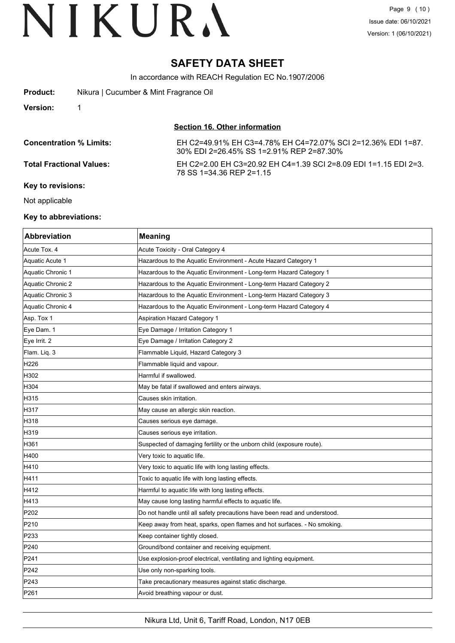### **SAFETY DATA SHEET**

In accordance with REACH Regulation EC No.1907/2006

| <b>Product:</b>                 | Nikura   Cucumber & Mint Fragrance Oil                                                                   |
|---------------------------------|----------------------------------------------------------------------------------------------------------|
| <b>Version:</b>                 |                                                                                                          |
|                                 | Section 16. Other information                                                                            |
| <b>Concentration % Limits:</b>  | EH C2=49.91% EH C3=4.78% EH C4=72.07% SCI 2=12.36% EDI 1=87.<br>30% EDI 2=26.45% SS 1=2.91% REP 2=87.30% |
| <b>Total Fractional Values:</b> | EH C2=2.00 EH C3=20.92 EH C4=1.39 SCI 2=8.09 EDI 1=1.15 EDI 2=3.<br>78 SS 1=34.36 REP 2=1.15             |
| Key to revisions:               |                                                                                                          |

Not applicable

#### **Key to abbreviations:**

| <b>Abbreviation</b> | <b>Meaning</b>                                                            |
|---------------------|---------------------------------------------------------------------------|
| Acute Tox. 4        | Acute Toxicity - Oral Category 4                                          |
| Aquatic Acute 1     | Hazardous to the Aquatic Environment - Acute Hazard Category 1            |
| Aquatic Chronic 1   | Hazardous to the Aquatic Environment - Long-term Hazard Category 1        |
| Aquatic Chronic 2   | Hazardous to the Aquatic Environment - Long-term Hazard Category 2        |
| Aquatic Chronic 3   | Hazardous to the Aquatic Environment - Long-term Hazard Category 3        |
| Aquatic Chronic 4   | Hazardous to the Aquatic Environment - Long-term Hazard Category 4        |
| Asp. Tox 1          | Aspiration Hazard Category 1                                              |
| Eye Dam. 1          | Eye Damage / Irritation Category 1                                        |
| Eye Irrit. 2        | Eye Damage / Irritation Category 2                                        |
| Flam. Liq. 3        | Flammable Liquid, Hazard Category 3                                       |
| H226                | Flammable liquid and vapour.                                              |
| H302                | Harmful if swallowed.                                                     |
| H304                | May be fatal if swallowed and enters airways.                             |
| H315                | Causes skin irritation.                                                   |
| H317                | May cause an allergic skin reaction.                                      |
| H318                | Causes serious eye damage.                                                |
| H319                | Causes serious eye irritation.                                            |
| H361                | Suspected of damaging fertility or the unborn child (exposure route).     |
| H400                | Very toxic to aquatic life.                                               |
| H410                | Very toxic to aquatic life with long lasting effects.                     |
| H411                | Toxic to aquatic life with long lasting effects.                          |
| H412                | Harmful to aquatic life with long lasting effects.                        |
| H413                | May cause long lasting harmful effects to aquatic life.                   |
| P202                | Do not handle until all safety precautions have been read and understood. |
| P210                | Keep away from heat, sparks, open flames and hot surfaces. - No smoking.  |
| P233                | Keep container tightly closed.                                            |
| P240                | Ground/bond container and receiving equipment.                            |
| P241                | Use explosion-proof electrical, ventilating and lighting equipment.       |
| P242                | Use only non-sparking tools.                                              |
| P243                | Take precautionary measures against static discharge.                     |
| P261                | Avoid breathing vapour or dust.                                           |